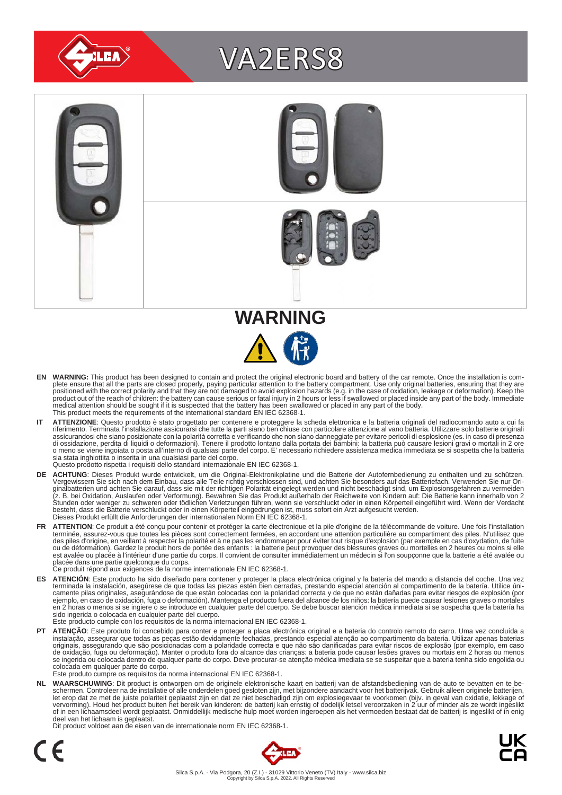

# VA2ERS8





- EN WARNING: This product has been designed to contain and protect the original electronic board and battery of the car remote. Once the installation is com-<br>plete ensure that all the parts are closed properly, paying parti positioned with the correct polarity and that they are not damaged to avoid explosion hazards (e.g. in the case of oxidation, leakage or deformation). Keep the<br>product out of the reach of children: the battery can cause se medical attention should be sought if it is suspected that the battery has been swallowed or placed in any part of the body. This product meets the requirements of the international standard EN IEC 62368-1.
- IT ATTENZIONE: Questo prodotto è stato progettato per contenere e proteggere la scheda elettronica e la batteria originali del radiocomando auto a cui fa<br>riferimento. Terminata l'installazione assicurarsi che tutte la part assicurandosi che siano posizionate con la polarità corretta e verificando che non siano danneggiate per evitare pericoli di esplosione (es. in caso di presenza<br>di ossidazione, perdita di liquidi o deformazioni). Tenere il sia stata inghiottita o inserita in una qualsiasi parte del corpo. Questo prodotto rispetta i requisiti dello standard internazionale EN IEC 62368-1.
- **DE ACHTUNG**: Dieses Produkt wurde entwickelt, um die Original-Elektronikplatine und die Batterie der Autofernbedienung zu enthalten und zu schützen.<br>Vergewissern Sie sich nach dem Einbau, dass alle Teile richtig verschlos besteht, dass die Batterie verschluckt oder in einen Körperteil eingedrungen ist, muss sofort ein Arzt aufgesucht werden.<br>Dieses Produkt erfüllt die Anforderungen der internationalen Norm EN IEC 62368-1.
- FR ATTENTION: Ce produit a été conçu pour contenir et protéger la carte électronique et la pile d'origine de la télécommande de voiture. Une fois l'installation terminée, assurez-vous que toutes les pièces sont correctement fermées, en accordant une attention particulière au compartiment des piles. N'utilisez que<br>des piles d'origine, en veillant à respecter la polarité et à ne pas est avalée ou placée à l'intérieur d'une partie du corps. Il convient de consulter immédiatement un médecin si l'on soupçonne que la batterie a été avalée ou<br>placée dans une partie quelconque du corps.<br>Ce produit répond au
	-
- ES ATENCION: Este producto ha sido diseñado para contener y proteger la placa electrónica original y la batería del mando a distancia del coche. Una vez<br>-terminada la instalación, asegúrese de que todas las piezas estén bi camente pilas originales, asegurándose de que están colocadas con la polaridad correcta y de que no están dañadas para evitar riesgos de explosión (por<br>ejemplo, en caso de oxidación, fuga o deformación). Mantenga el produc sido ingerida o colocada en cualquier parte del cuerpo.
- Este producto cumple con los requisitos de la norma internacional EN IEC 62368-1.
- **PT ATENÇAO**: Este produto foi concebido para conter e proteger a placa electrónica original e a bateria do controlo remoto do carro. Uma vez concluída a instalação, assegurar que todas as peças estão devidamente fechadas, colocada em qualquer parte do corpo. Este produto cumpre os requisitos da norma internacional EN IEC 62368-1.

NL WAARSCHUWING: Dit product is ontworpen om de originele elektronische kaart en batterij van de afstandsbediening van de auto te bevatten en te be-<br>schermen. Controleer na de installatie of alle onderdelen goed gesloten z of in een lichaamsdeel wordt geplaatst. Onmiddellijk medische hulp moet worden ingeroepen als het vermoeden bestaat dat de batterij is ingeslikt of in enig deel van het lichaam is geplaatst.

Dit product voldoet aan de eisen van de internationale norm EN IEC 62368-1.